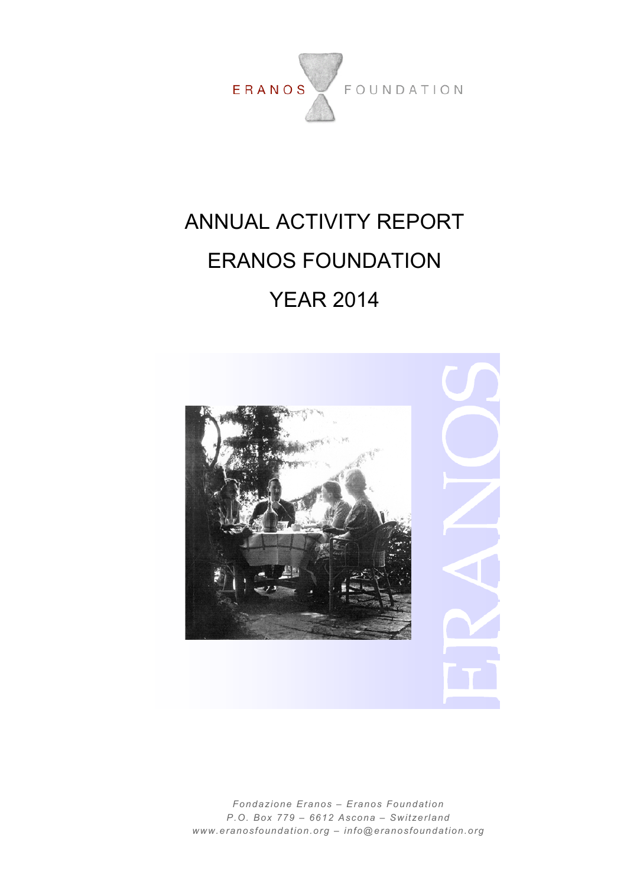

# ANNUAL ACTIVITY REPORT ERANOS FOUNDATION YEAR 2014



*Fondazione Eranos – Eranos Foundation P.O. Box 779 – 6612 Ascona – Switzerland www.eranosfoundation.org – info@eranosfoundation.org*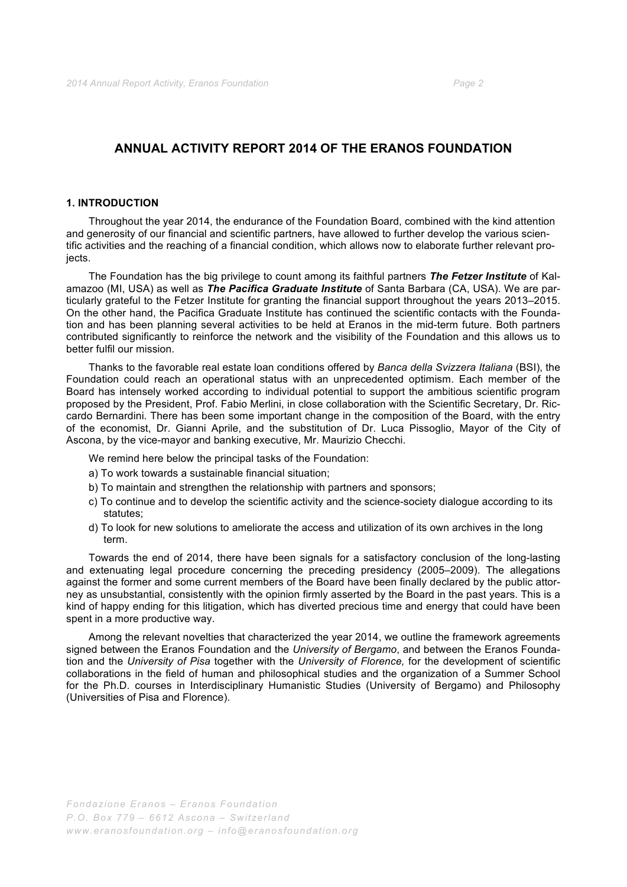## **ANNUAL ACTIVITY REPORT 2014 OF THE ERANOS FOUNDATION**

### **1. INTRODUCTION**

Throughout the year 2014, the endurance of the Foundation Board, combined with the kind attention and generosity of our financial and scientific partners, have allowed to further develop the various scientific activities and the reaching of a financial condition, which allows now to elaborate further relevant projects.

The Foundation has the big privilege to count among its faithful partners *The Fetzer Institute* of Kalamazoo (MI, USA) as well as *The Pacifica Graduate Institute* of Santa Barbara (CA, USA). We are particularly grateful to the Fetzer Institute for granting the financial support throughout the years 2013–2015. On the other hand, the Pacifica Graduate Institute has continued the scientific contacts with the Foundation and has been planning several activities to be held at Eranos in the mid-term future. Both partners contributed significantly to reinforce the network and the visibility of the Foundation and this allows us to better fulfil our mission.

Thanks to the favorable real estate loan conditions offered by *Banca della Svizzera Italiana* (BSI), the Foundation could reach an operational status with an unprecedented optimism. Each member of the Board has intensely worked according to individual potential to support the ambitious scientific program proposed by the President, Prof. Fabio Merlini, in close collaboration with the Scientific Secretary, Dr. Riccardo Bernardini. There has been some important change in the composition of the Board, with the entry of the economist, Dr. Gianni Aprile, and the substitution of Dr. Luca Pissoglio, Mayor of the City of Ascona, by the vice-mayor and banking executive, Mr. Maurizio Checchi.

We remind here below the principal tasks of the Foundation:

- a) To work towards a sustainable financial situation;
- b) To maintain and strengthen the relationship with partners and sponsors;
- c) To continue and to develop the scientific activity and the science-society dialogue according to its statutes:
- d) To look for new solutions to ameliorate the access and utilization of its own archives in the long term.

Towards the end of 2014, there have been signals for a satisfactory conclusion of the long-lasting and extenuating legal procedure concerning the preceding presidency (2005–2009). The allegations against the former and some current members of the Board have been finally declared by the public attorney as unsubstantial, consistently with the opinion firmly asserted by the Board in the past years. This is a kind of happy ending for this litigation, which has diverted precious time and energy that could have been spent in a more productive way.

Among the relevant novelties that characterized the year 2014, we outline the framework agreements signed between the Eranos Foundation and the *University of Bergamo*, and between the Eranos Foundation and the *University of Pisa* together with the *University of Florence,* for the development of scientific collaborations in the field of human and philosophical studies and the organization of a Summer School for the Ph.D. courses in Interdisciplinary Humanistic Studies (University of Bergamo) and Philosophy (Universities of Pisa and Florence).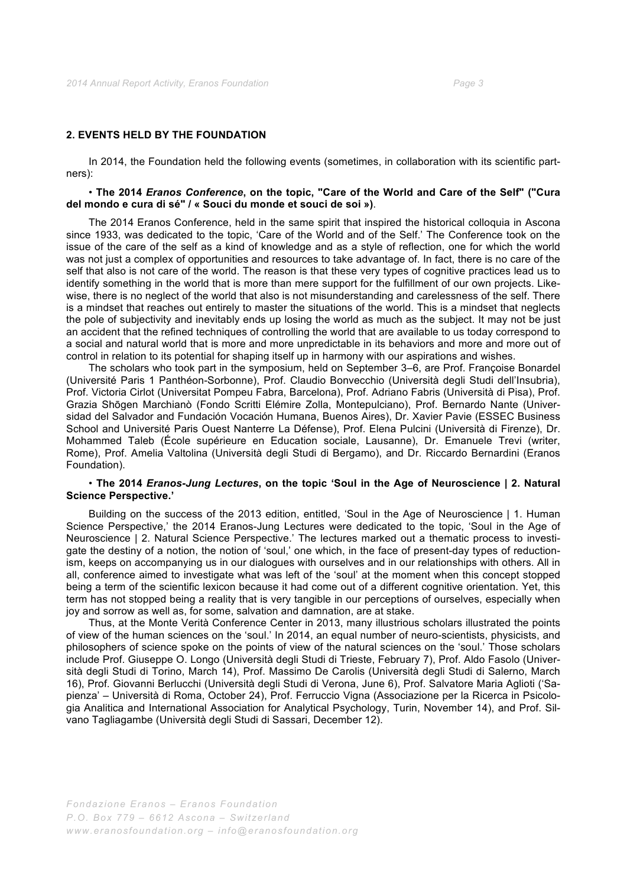## **2. EVENTS HELD BY THE FOUNDATION**

In 2014, the Foundation held the following events (sometimes, in collaboration with its scientific partners):

#### • **The 2014** *Eranos Conference***, on the topic, "Care of the World and Care of the Self" ("Cura del mondo e cura di sé" / « Souci du monde et souci de soi »)**.

The 2014 Eranos Conference, held in the same spirit that inspired the historical colloquia in Ascona since 1933, was dedicated to the topic, 'Care of the World and of the Self.' The Conference took on the issue of the care of the self as a kind of knowledge and as a style of reflection, one for which the world was not just a complex of opportunities and resources to take advantage of. In fact, there is no care of the self that also is not care of the world. The reason is that these very types of cognitive practices lead us to identify something in the world that is more than mere support for the fulfillment of our own projects. Likewise, there is no neglect of the world that also is not misunderstanding and carelessness of the self. There is a mindset that reaches out entirely to master the situations of the world. This is a mindset that neglects the pole of subjectivity and inevitably ends up losing the world as much as the subject. It may not be just an accident that the refined techniques of controlling the world that are available to us today correspond to a social and natural world that is more and more unpredictable in its behaviors and more and more out of control in relation to its potential for shaping itself up in harmony with our aspirations and wishes.

The scholars who took part in the symposium, held on September 3–6, are Prof. Françoise Bonardel (Université Paris 1 Panthéon-Sorbonne), Prof. Claudio Bonvecchio (Università degli Studi dell'Insubria), Prof. Victoria Cirlot (Universitat Pompeu Fabra, Barcelona), Prof. Adriano Fabris (Università di Pisa), Prof. Grazia Shōgen Marchianò (Fondo Scritti Elémire Zolla, Montepulciano), Prof. Bernardo Nante (Universidad del Salvador and Fundación Vocación Humana, Buenos Aires), Dr. Xavier Pavie (ESSEC Business School and Université Paris Ouest Nanterre La Défense), Prof. Elena Pulcini (Università di Firenze), Dr. Mohammed Taleb (École supérieure en Education sociale, Lausanne), Dr. Emanuele Trevi (writer, Rome), Prof. Amelia Valtolina (Università degli Studi di Bergamo), and Dr. Riccardo Bernardini (Eranos Foundation).

#### • **The 2014** *Eranos-Jung Lectures***, on the topic 'Soul in the Age of Neuroscience | 2. Natural Science Perspective.'**

Building on the success of the 2013 edition, entitled, 'Soul in the Age of Neuroscience | 1. Human Science Perspective,' the 2014 Eranos-Jung Lectures were dedicated to the topic, 'Soul in the Age of Neuroscience | 2. Natural Science Perspective.' The lectures marked out a thematic process to investigate the destiny of a notion, the notion of 'soul,' one which, in the face of present-day types of reductionism, keeps on accompanying us in our dialogues with ourselves and in our relationships with others. All in all, conference aimed to investigate what was left of the 'soul' at the moment when this concept stopped being a term of the scientific lexicon because it had come out of a different cognitive orientation. Yet, this term has not stopped being a reality that is very tangible in our perceptions of ourselves, especially when joy and sorrow as well as, for some, salvation and damnation, are at stake.

Thus, at the Monte Verità Conference Center in 2013, many illustrious scholars illustrated the points of view of the human sciences on the 'soul.' In 2014, an equal number of neuro-scientists, physicists, and philosophers of science spoke on the points of view of the natural sciences on the 'soul.' Those scholars include Prof. Giuseppe O. Longo (Università degli Studi di Trieste, February 7), Prof. Aldo Fasolo (Università degli Studi di Torino, March 14), Prof. Massimo De Carolis (Università degli Studi di Salerno, March 16), Prof. Giovanni Berlucchi (Università degli Studi di Verona, June 6), Prof. Salvatore Maria Aglioti ('Sapienza' – Università di Roma, October 24), Prof. Ferruccio Vigna (Associazione per la Ricerca in Psicologia Analitica and International Association for Analytical Psychology, Turin, November 14), and Prof. Silvano Tagliagambe (Università degli Studi di Sassari, December 12).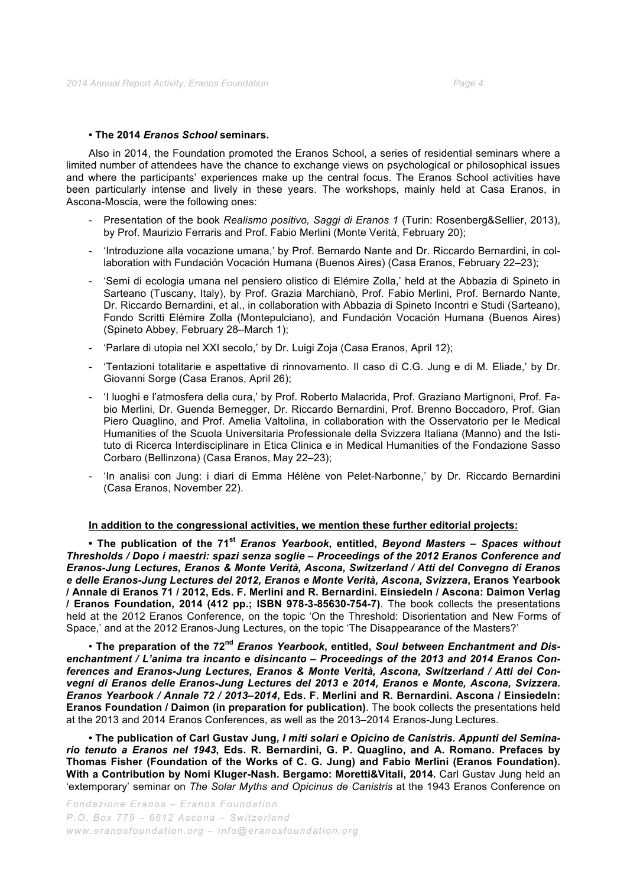## **• The 2014** *Eranos School* **seminars.**

Also in 2014, the Foundation promoted the Eranos School, a series of residential seminars where a limited number of attendees have the chance to exchange views on psychological or philosophical issues and where the participants' experiences make up the central focus. The Eranos School activities have been particularly intense and lively in these years. The workshops, mainly held at Casa Eranos, in Ascona-Moscia, were the following ones:

- Presentation of the book *Realismo positivo, Saggi di Eranos 1* (Turin: Rosenberg&Sellier, 2013), by Prof. Maurizio Ferraris and Prof. Fabio Merlini (Monte Verità, February 20);
- 'Introduzione alla vocazione umana,' by Prof. Bernardo Nante and Dr. Riccardo Bernardini, in collaboration with Fundación Vocación Humana (Buenos Aires) (Casa Eranos, February 22–23);
- 'Semi di ecologia umana nel pensiero olistico di Elémire Zolla,' held at the Abbazia di Spineto in Sarteano (Tuscany, Italy), by Prof. Grazia Marchianò, Prof. Fabio Merlini, Prof. Bernardo Nante, Dr. Riccardo Bernardini, et al., in collaboration with Abbazia di Spineto Incontri e Studi (Sarteano), Fondo Scritti Elémire Zolla (Montepulciano), and Fundación Vocación Humana (Buenos Aires) (Spineto Abbey, February 28–March 1);
- 'Parlare di utopia nel XXI secolo,' by Dr. Luigi Zoja (Casa Eranos, April 12);
- 'Tentazioni totalitarie e aspettative di rinnovamento. Il caso di C.G. Jung e di M. Eliade,' by Dr. Giovanni Sorge (Casa Eranos, April 26);
- 'I luoghi e l'atmosfera della cura,' by Prof. Roberto Malacrida, Prof. Graziano Martignoni, Prof. Fabio Merlini, Dr. Guenda Bernegger, Dr. Riccardo Bernardini, Prof. Brenno Boccadoro, Prof. Gian Piero Quaglino, and Prof. Amelia Valtolina, in collaboration with the Osservatorio per le Medical Humanities of the Scuola Universitaria Professionale della Svizzera Italiana (Manno) and the Istituto di Ricerca Interdisciplinare in Etica Clinica e in Medical Humanities of the Fondazione Sasso Corbaro (Bellinzona) (Casa Eranos, May 22–23);
- 'In analisi con Jung: i diari di Emma Hélène von Pelet-Narbonne,' by Dr. Riccardo Bernardini (Casa Eranos, November 22).

## **In addition to the congressional activities, we mention these further editorial projects:**

**• The publication of the 71st** *Eranos Yearbook***, entitled,** *Beyond Masters – Spaces without Thresholds / Dopo i maestri: spazi senza soglie – Proceedings of the 2012 Eranos Conference and Eranos-Jung Lectures, Eranos & Monte Verità, Ascona, Switzerland / Atti del Convegno di Eranos e delle Eranos-Jung Lectures del 2012, Eranos e Monte Verità, Ascona, Svizzera***, Eranos Yearbook / Annale di Eranos 71 / 2012, Eds. F. Merlini and R. Bernardini. Einsiedeln / Ascona: Daimon Verlag / Eranos Foundation, 2014 (412 pp.; ISBN 978-3-85630-754-7)**. The book collects the presentations held at the 2012 Eranos Conference, on the topic 'On the Threshold: Disorientation and New Forms of Space,' and at the 2012 Eranos-Jung Lectures, on the topic 'The Disappearance of the Masters?'

• **The preparation of the 72nd** *Eranos Yearbook***, entitled,** *Soul between Enchantment and Disenchantment / L'anima tra incanto e disincanto – Proceedings of the 2013 and 2014 Eranos Conferences and Eranos-Jung Lectures, Eranos & Monte Verità, Ascona, Switzerland / Atti dei Convegni di Eranos delle Eranos-Jung Lectures del 2013 e 2014, Eranos e Monte, Ascona, Svizzera. Eranos Yearbook / Annale 72 / 2013–2014***, Eds. F. Merlini and R. Bernardini. Ascona / Einsiedeln: Eranos Foundation / Daimon (in preparation for publication)**. The book collects the presentations held at the 2013 and 2014 Eranos Conferences, as well as the 2013–2014 Eranos-Jung Lectures.

**• The publication of Carl Gustav Jung,** *I miti solari e Opicino de Canistris. Appunti del Seminario tenuto a Eranos nel 1943***, Eds. R. Bernardini, G. P. Quaglino, and A. Romano. Prefaces by Thomas Fisher (Foundation of the Works of C. G. Jung) and Fabio Merlini (Eranos Foundation). With a Contribution by Nomi Kluger-Nash. Bergamo: Moretti&Vitali, 2014.** Carl Gustav Jung held an 'extemporary' seminar on *The Solar Myths and Opicinus de Canistris* at the 1943 Eranos Conference on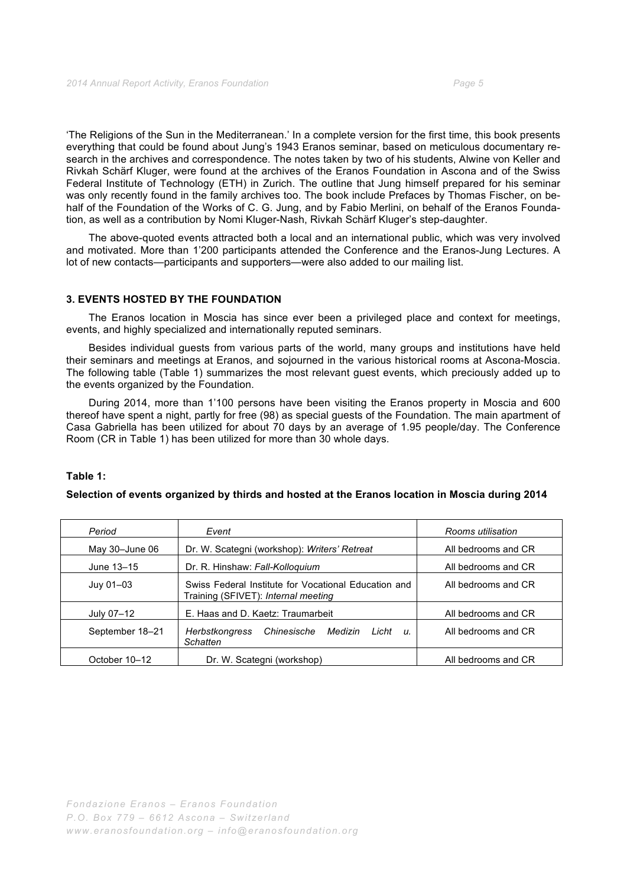'The Religions of the Sun in the Mediterranean.' In a complete version for the first time, this book presents everything that could be found about Jung's 1943 Eranos seminar, based on meticulous documentary research in the archives and correspondence. The notes taken by two of his students, Alwine von Keller and Rivkah Schärf Kluger, were found at the archives of the Eranos Foundation in Ascona and of the Swiss Federal Institute of Technology (ETH) in Zurich. The outline that Jung himself prepared for his seminar was only recently found in the family archives too. The book include Prefaces by Thomas Fischer, on behalf of the Foundation of the Works of C. G. Jung, and by Fabio Merlini, on behalf of the Eranos Foundation, as well as a contribution by Nomi Kluger-Nash, Rivkah Schärf Kluger's step-daughter.

The above-quoted events attracted both a local and an international public, which was very involved and motivated. More than 1'200 participants attended the Conference and the Eranos-Jung Lectures. A lot of new contacts—participants and supporters—were also added to our mailing list.

#### **3. EVENTS HOSTED BY THE FOUNDATION**

The Eranos location in Moscia has since ever been a privileged place and context for meetings, events, and highly specialized and internationally reputed seminars.

Besides individual guests from various parts of the world, many groups and institutions have held their seminars and meetings at Eranos, and sojourned in the various historical rooms at Ascona-Moscia. The following table (Table 1) summarizes the most relevant guest events, which preciously added up to the events organized by the Foundation.

During 2014, more than 1'100 persons have been visiting the Eranos property in Moscia and 600 thereof have spent a night, partly for free (98) as special guests of the Foundation. The main apartment of Casa Gabriella has been utilized for about 70 days by an average of 1.95 people/day. The Conference Room (CR in Table 1) has been utilized for more than 30 whole days.

#### **Table 1:**

#### **Selection of events organized by thirds and hosted at the Eranos location in Moscia during 2014**

| Period          | Event                                                                                       | Rooms utilisation   |
|-----------------|---------------------------------------------------------------------------------------------|---------------------|
| May 30-June 06  | Dr. W. Scategni (workshop): Writers' Retreat                                                | All bedrooms and CR |
| June 13-15      | Dr. R. Hinshaw: Fall-Kolloquium                                                             | All bedrooms and CR |
| Juy 01-03       | Swiss Federal Institute for Vocational Education and<br>Training (SFIVET): Internal meeting | All bedrooms and CR |
| July 07-12      | E. Haas and D. Kaetz: Traumarbeit                                                           | All bedrooms and CR |
| September 18-21 | Chinesische<br>Medizin<br>Licht<br>Herbstkongress<br>и.<br>Schatten                         | All bedrooms and CR |
| October 10–12   | Dr. W. Scategni (workshop)                                                                  | All bedrooms and CR |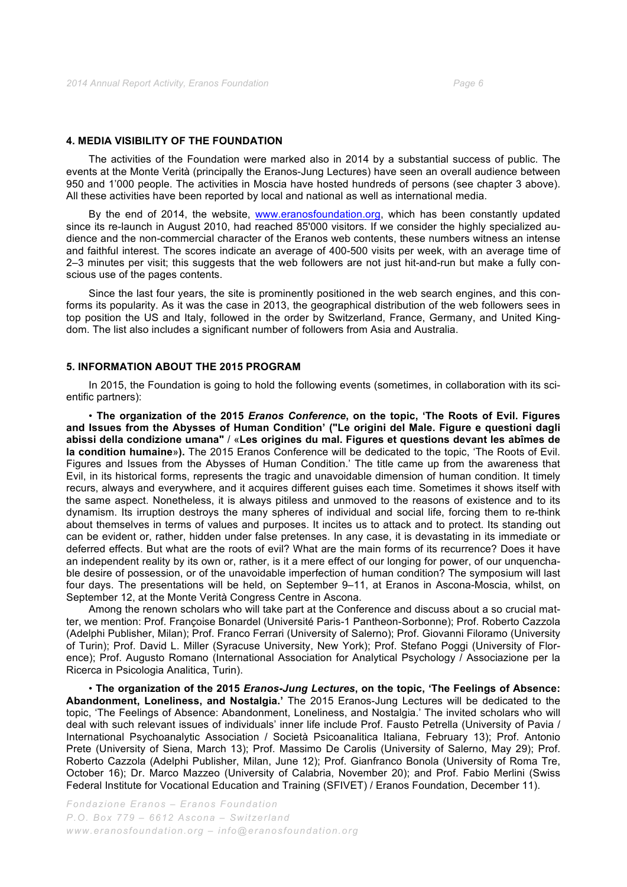#### **4. MEDIA VISIBILITY OF THE FOUNDATION**

The activities of the Foundation were marked also in 2014 by a substantial success of public. The events at the Monte Verità (principally the Eranos-Jung Lectures) have seen an overall audience between 950 and 1'000 people. The activities in Moscia have hosted hundreds of persons (see chapter 3 above). All these activities have been reported by local and national as well as international media.

By the end of 2014, the website, www.eranosfoundation.org, which has been constantly updated since its re-launch in August 2010, had reached 85'000 visitors. If we consider the highly specialized audience and the non-commercial character of the Eranos web contents, these numbers witness an intense and faithful interest. The scores indicate an average of 400-500 visits per week, with an average time of 2–3 minutes per visit; this suggests that the web followers are not just hit-and-run but make a fully conscious use of the pages contents.

Since the last four years, the site is prominently positioned in the web search engines, and this conforms its popularity. As it was the case in 2013, the geographical distribution of the web followers sees in top position the US and Italy, followed in the order by Switzerland, France, Germany, and United Kingdom. The list also includes a significant number of followers from Asia and Australia.

#### **5. INFORMATION ABOUT THE 2015 PROGRAM**

In 2015, the Foundation is going to hold the following events (sometimes, in collaboration with its scientific partners):

• **The organization of the 2015** *Eranos Conference***, on the topic, 'The Roots of Evil. Figures and Issues from the Abysses of Human Condition' ("Le origini del Male. Figure e questioni dagli abissi della condizione umana"** / «**Les origines du mal. Figures et questions devant les abîmes de la condition humaine**»**).** The 2015 Eranos Conference will be dedicated to the topic, 'The Roots of Evil. Figures and Issues from the Abysses of Human Condition.' The title came up from the awareness that Evil, in its historical forms, represents the tragic and unavoidable dimension of human condition. It timely recurs, always and everywhere, and it acquires different guises each time. Sometimes it shows itself with the same aspect. Nonetheless, it is always pitiless and unmoved to the reasons of existence and to its dynamism. Its irruption destroys the many spheres of individual and social life, forcing them to re-think about themselves in terms of values and purposes. It incites us to attack and to protect. Its standing out can be evident or, rather, hidden under false pretenses. In any case, it is devastating in its immediate or deferred effects. But what are the roots of evil? What are the main forms of its recurrence? Does it have an independent reality by its own or, rather, is it a mere effect of our longing for power, of our unquenchable desire of possession, or of the unavoidable imperfection of human condition? The symposium will last four days. The presentations will be held, on September 9–11, at Eranos in Ascona-Moscia, whilst, on September 12, at the Monte Verità Congress Centre in Ascona.

Among the renown scholars who will take part at the Conference and discuss about a so crucial matter, we mention: Prof. Françoise Bonardel (Université Paris-1 Pantheon-Sorbonne); Prof. Roberto Cazzola (Adelphi Publisher, Milan); Prof. Franco Ferrari (University of Salerno); Prof. Giovanni Filoramo (University of Turin); Prof. David L. Miller (Syracuse University, New York); Prof. Stefano Poggi (University of Florence); Prof. Augusto Romano (International Association for Analytical Psychology / Associazione per la Ricerca in Psicologia Analitica, Turin).

• **The organization of the 2015** *Eranos-Jung Lectures***, on the topic, 'The Feelings of Absence: Abandonment, Loneliness, and Nostalgia.'** The 2015 Eranos-Jung Lectures will be dedicated to the topic, 'The Feelings of Absence: Abandonment, Loneliness, and Nostalgia.' The invited scholars who will deal with such relevant issues of individuals' inner life include Prof. Fausto Petrella (University of Pavia / International Psychoanalytic Association / Società Psicoanalitica Italiana, February 13); Prof. Antonio Prete (University of Siena, March 13); Prof. Massimo De Carolis (University of Salerno, May 29); Prof. Roberto Cazzola (Adelphi Publisher, Milan, June 12); Prof. Gianfranco Bonola (University of Roma Tre, October 16); Dr. Marco Mazzeo (University of Calabria, November 20); and Prof. Fabio Merlini (Swiss Federal Institute for Vocational Education and Training (SFIVET) / Eranos Foundation, December 11).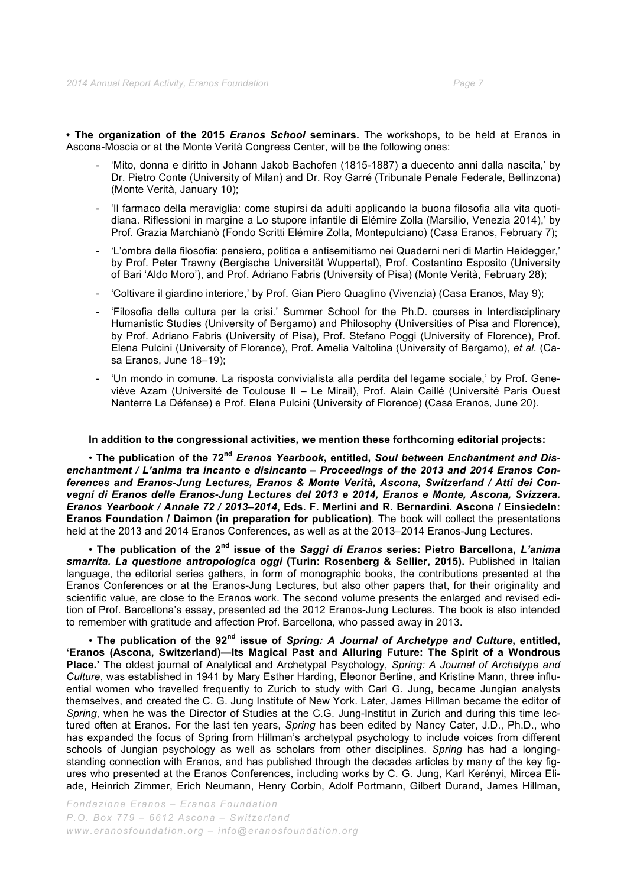**• The organization of the 2015** *Eranos School* **seminars.** The workshops, to be held at Eranos in Ascona-Moscia or at the Monte Verità Congress Center, will be the following ones:

- 'Mito, donna e diritto in Johann Jakob Bachofen (1815-1887) a duecento anni dalla nascita,' by Dr. Pietro Conte (University of Milan) and Dr. Roy Garré (Tribunale Penale Federale, Bellinzona) (Monte Verità, January 10);
- 'Il farmaco della meraviglia: come stupirsi da adulti applicando la buona filosofia alla vita quotidiana. Riflessioni in margine a Lo stupore infantile di Elémire Zolla (Marsilio, Venezia 2014),' by Prof. Grazia Marchianò (Fondo Scritti Elémire Zolla, Montepulciano) (Casa Eranos, February 7);
- 'L'ombra della filosofia: pensiero, politica e antisemitismo nei Quaderni neri di Martin Heidegger,' by Prof. Peter Trawny (Bergische Universität Wuppertal), Prof. Costantino Esposito (University of Bari 'Aldo Moro'), and Prof. Adriano Fabris (University of Pisa) (Monte Verità, February 28);
- 'Coltivare il giardino interiore,' by Prof. Gian Piero Quaglino (Vivenzia) (Casa Eranos, May 9);
- 'Filosofia della cultura per la crisi.' Summer School for the Ph.D. courses in Interdisciplinary Humanistic Studies (University of Bergamo) and Philosophy (Universities of Pisa and Florence), by Prof. Adriano Fabris (University of Pisa), Prof. Stefano Poggi (University of Florence), Prof. Elena Pulcini (University of Florence), Prof. Amelia Valtolina (University of Bergamo), *et al.* (Casa Eranos, June 18–19);
- 'Un mondo in comune. La risposta convivialista alla perdita del legame sociale,' by Prof. Geneviève Azam (Université de Toulouse II – Le Mirail), Prof. Alain Caillé (Université Paris Ouest Nanterre La Défense) e Prof. Elena Pulcini (University of Florence) (Casa Eranos, June 20).

#### **In addition to the congressional activities, we mention these forthcoming editorial projects:**

• **The publication of the 72nd** *Eranos Yearbook***, entitled,** *Soul between Enchantment and Disenchantment / L'anima tra incanto e disincanto – Proceedings of the 2013 and 2014 Eranos Conferences and Eranos-Jung Lectures, Eranos & Monte Verità, Ascona, Switzerland / Atti dei Convegni di Eranos delle Eranos-Jung Lectures del 2013 e 2014, Eranos e Monte, Ascona, Svizzera. Eranos Yearbook / Annale 72 / 2013–2014***, Eds. F. Merlini and R. Bernardini. Ascona / Einsiedeln: Eranos Foundation / Daimon (in preparation for publication)**. The book will collect the presentations held at the 2013 and 2014 Eranos Conferences, as well as at the 2013–2014 Eranos-Jung Lectures.

• **The publication of the 2nd issue of the** *Saggi di Eranos* **series: Pietro Barcellona,** *L'anima smarrita. La questione antropologica oggi* **(Turin: Rosenberg & Sellier, 2015).** Published in Italian language, the editorial series gathers, in form of monographic books, the contributions presented at the Eranos Conferences or at the Eranos-Jung Lectures, but also other papers that, for their originality and scientific value, are close to the Eranos work. The second volume presents the enlarged and revised edition of Prof. Barcellona's essay, presented ad the 2012 Eranos-Jung Lectures. The book is also intended to remember with gratitude and affection Prof. Barcellona, who passed away in 2013.

• **The publication of the 92nd issue of** *Spring: A Journal of Archetype and Culture***, entitled, 'Eranos (Ascona, Switzerland)—Its Magical Past and Alluring Future: The Spirit of a Wondrous Place.'** The oldest journal of Analytical and Archetypal Psychology, *Spring: A Journal of Archetype and Culture*, was established in 1941 by Mary Esther Harding, Eleonor Bertine, and Kristine Mann, three influential women who travelled frequently to Zurich to study with Carl G. Jung, became Jungian analysts themselves, and created the C. G. Jung Institute of New York. Later, James Hillman became the editor of *Spring*, when he was the Director of Studies at the C.G. Jung-Institut in Zurich and during this time lectured often at Eranos. For the last ten years, *Spring* has been edited by Nancy Cater, J.D., Ph.D., who has expanded the focus of Spring from Hillman's archetypal psychology to include voices from different schools of Jungian psychology as well as scholars from other disciplines. *Spring* has had a longingstanding connection with Eranos, and has published through the decades articles by many of the key figures who presented at the Eranos Conferences, including works by C. G. Jung, Karl Kerényi, Mircea Eliade, Heinrich Zimmer, Erich Neumann, Henry Corbin, Adolf Portmann, Gilbert Durand, James Hillman,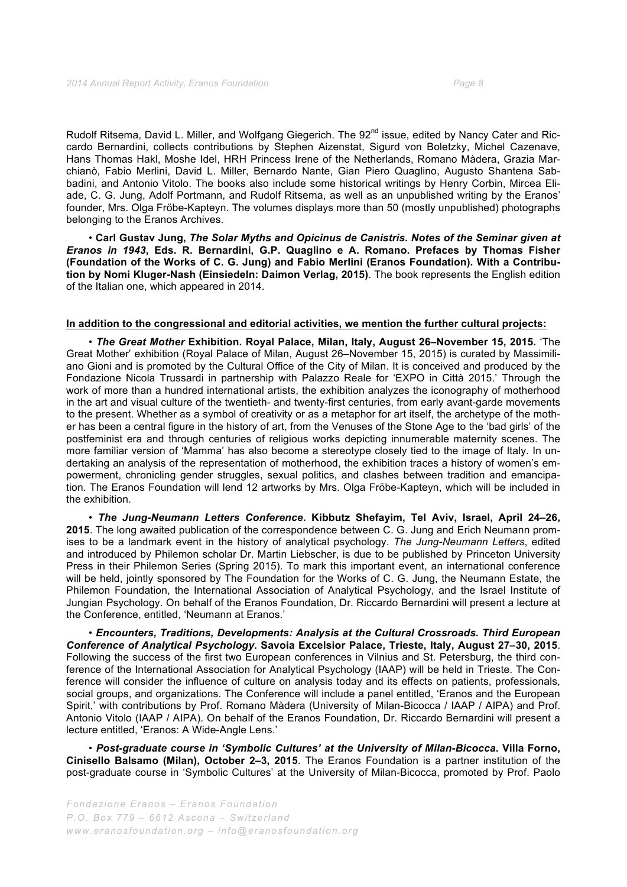Rudolf Ritsema, David L. Miller, and Wolfgang Giegerich. The 92<sup>nd</sup> issue, edited by Nancy Cater and Riccardo Bernardini, collects contributions by Stephen Aizenstat, Sigurd von Boletzky, Michel Cazenave, Hans Thomas Hakl, Moshe Idel, HRH Princess Irene of the Netherlands, Romano Màdera, Grazia Marchianò, Fabio Merlini, David L. Miller, Bernardo Nante, Gian Piero Quaglino, Augusto Shantena Sabbadini, and Antonio Vitolo. The books also include some historical writings by Henry Corbin, Mircea Eliade, C. G. Jung, Adolf Portmann, and Rudolf Ritsema, as well as an unpublished writing by the Eranos' founder, Mrs. Olga Fröbe-Kapteyn. The volumes displays more than 50 (mostly unpublished) photographs belonging to the Eranos Archives.

• **Carl Gustav Jung,** *The Solar Myths and Opicinus de Canistris. Notes of the Seminar given at Eranos in 1943***, Eds. R. Bernardini, G.P. Quaglino e A. Romano. Prefaces by Thomas Fisher (Foundation of the Works of C. G. Jung) and Fabio Merlini (Eranos Foundation). With a Contribution by Nomi Kluger-Nash (Einsiedeln: Daimon Verlag, 2015)**. The book represents the English edition of the Italian one, which appeared in 2014.

#### **In addition to the congressional and editorial activities, we mention the further cultural projects:**

• *The Great Mother* **Exhibition. Royal Palace, Milan, Italy, August 26–November 15, 2015.** 'The Great Mother' exhibition (Royal Palace of Milan, August 26–November 15, 2015) is curated by Massimiliano Gioni and is promoted by the Cultural Office of the City of Milan. It is conceived and produced by the Fondazione Nicola Trussardi in partnership with Palazzo Reale for 'EXPO in Città 2015.' Through the work of more than a hundred international artists, the exhibition analyzes the iconography of motherhood in the art and visual culture of the twentieth- and twenty-first centuries, from early avant-garde movements to the present. Whether as a symbol of creativity or as a metaphor for art itself, the archetype of the mother has been a central figure in the history of art, from the Venuses of the Stone Age to the 'bad girls' of the postfeminist era and through centuries of religious works depicting innumerable maternity scenes. The more familiar version of 'Mamma' has also become a stereotype closely tied to the image of Italy. In undertaking an analysis of the representation of motherhood, the exhibition traces a history of women's empowerment, chronicling gender struggles, sexual politics, and clashes between tradition and emancipation. The Eranos Foundation will lend 12 artworks by Mrs. Olga Fröbe-Kapteyn, which will be included in the exhibition.

• *The Jung-Neumann Letters Conference***. Kibbutz Shefayim, Tel Aviv, Israel, April 24–26, 2015**. The long awaited publication of the correspondence between C. G. Jung and Erich Neumann promises to be a landmark event in the history of analytical psychology. *The Jung-Neumann Letters*, edited and introduced by Philemon scholar Dr. Martin Liebscher, is due to be published by Princeton University Press in their Philemon Series (Spring 2015). To mark this important event, an international conference will be held, jointly sponsored by The Foundation for the Works of C. G. Jung, the Neumann Estate, the Philemon Foundation, the International Association of Analytical Psychology, and the Israel Institute of Jungian Psychology. On behalf of the Eranos Foundation, Dr. Riccardo Bernardini will present a lecture at the Conference, entitled, 'Neumann at Eranos.'

• *Encounters, Traditions, Developments: Analysis at the Cultural Crossroads. Third European Conference of Analytical Psychology***. Savoia Excelsior Palace, Trieste, Italy, August 27–30, 2015**. Following the success of the first two European conferences in Vilnius and St. Petersburg, the third conference of the International Association for Analytical Psychology (IAAP) will be held in Trieste. The Conference will consider the influence of culture on analysis today and its effects on patients, professionals, social groups, and organizations. The Conference will include a panel entitled, 'Eranos and the European Spirit,' with contributions by Prof. Romano Màdera (University of Milan-Bicocca / IAAP / AIPA) and Prof. Antonio Vitolo (IAAP / AIPA). On behalf of the Eranos Foundation, Dr. Riccardo Bernardini will present a lecture entitled, 'Eranos: A Wide-Angle Lens.'

• *Post-graduate course in 'Symbolic Cultures' at the University of Milan-Bicocca***. Villa Forno, Cinisello Balsamo (Milan), October 2–3, 2015**. The Eranos Foundation is a partner institution of the post-graduate course in 'Symbolic Cultures' at the University of Milan-Bicocca, promoted by Prof. Paolo